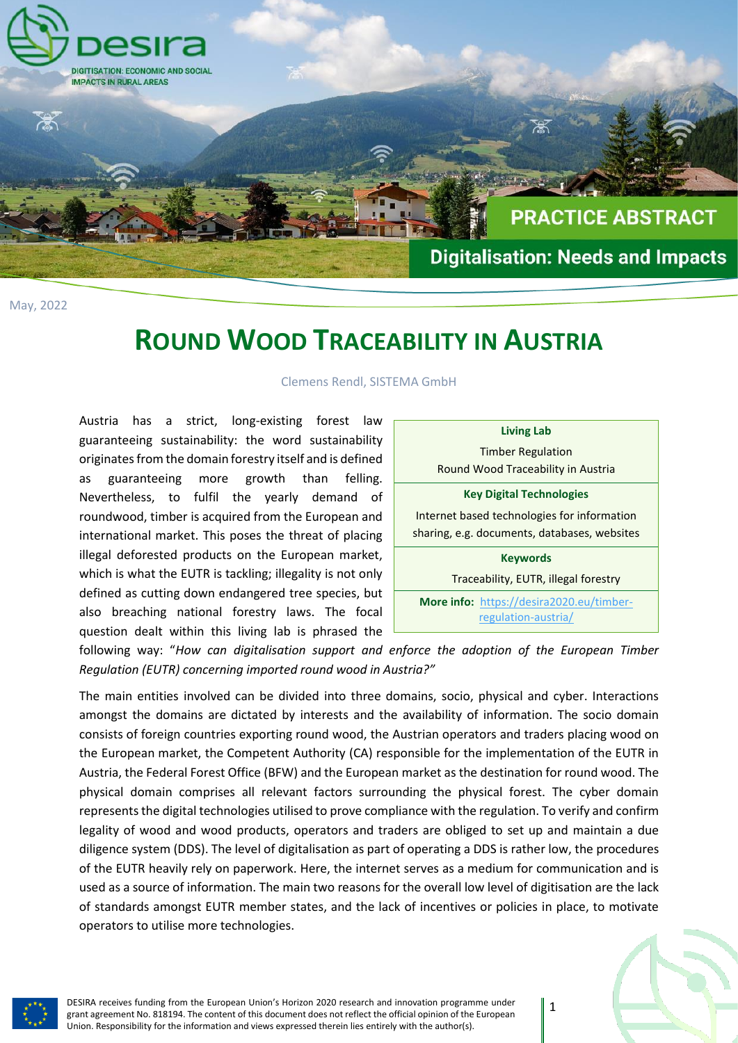

May, 2022

## **ROUND WOOD TRACEABILITY IN AUSTRIA**

Clemens Rendl, SISTEMA GmbH

Austria has a strict, long-existing forest law guaranteeing sustainability: the word sustainability originates from the domain forestry itself and is defined as guaranteeing more growth than felling. Nevertheless, to fulfil the yearly demand of roundwood, timber is acquired from the European and international market. This poses the threat of placing illegal deforested products on the European market, which is what the EUTR is tackling; illegality is not only defined as cutting down endangered tree species, but also breaching national forestry laws. The focal question dealt within this living lab is phrased the

| <b>Living Lab</b>                            |                                                 |
|----------------------------------------------|-------------------------------------------------|
| <b>Timber Regulation</b>                     |                                                 |
| Round Wood Traceability in Austria           |                                                 |
| <b>Key Digital Technologies</b>              |                                                 |
| Internet based technologies for information  |                                                 |
| sharing, e.g. documents, databases, websites |                                                 |
| <b>Keywords</b>                              |                                                 |
| Traceability, EUTR, illegal forestry         |                                                 |
|                                              | <b>More info:</b> https://desira2020.eu/timber- |
|                                              | regulation-austria/                             |

following way: "*How can digitalisation support and enforce the adoption of the European Timber Regulation (EUTR) concerning imported round wood in Austria?"*

The main entities involved can be divided into three domains, socio, physical and cyber. Interactions amongst the domains are dictated by interests and the availability of information. The socio domain consists of foreign countries exporting round wood, the Austrian operators and traders placing wood on the European market, the Competent Authority (CA) responsible for the implementation of the EUTR in Austria, the Federal Forest Office (BFW) and the European market as the destination for round wood. The physical domain comprises all relevant factors surrounding the physical forest. The cyber domain represents the digital technologies utilised to prove compliance with the regulation. To verify and confirm legality of wood and wood products, operators and traders are obliged to set up and maintain a due diligence system (DDS). The level of digitalisation as part of operating a DDS is rather low, the procedures of the EUTR heavily rely on paperwork. Here, the internet serves as a medium for communication and is used as a source of information. The main two reasons for the overall low level of digitisation are the lack of standards amongst EUTR member states, and the lack of incentives or policies in place, to motivate operators to utilise more technologies.



DESIRA receives funding from the European Union's Horizon 2020 research and innovation programme under grant agreement No. 818194. The content of this document does not reflect the official opinion of the European Union. Responsibility for the information and views expressed therein lies entirely with the author(s).